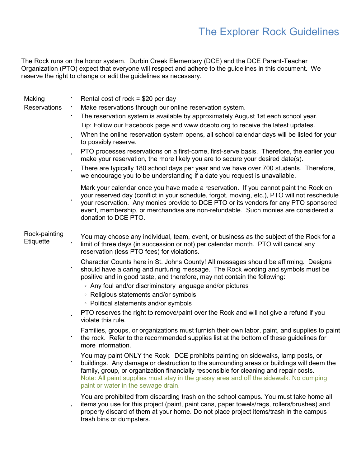## The Explorer Rock Guidelines

The Rock runs on the honor system. Durbin Creek Elementary (DCE) and the DCE Parent-Teacher Organization (PTO) expect that everyone will respect and adhere to the guidelines in this document. We reserve the right to change or edit the guidelines as necessary.

| Making<br><b>Reservations</b> | ٠ | Rental cost of rock = $$20$ per day<br>Make reservations through our online reservation system.<br>The reservation system is available by approximately August 1st each school year.<br>Tip: Follow our Facebook page and www.dcepto.org to receive the latest updates.<br>When the online reservation system opens, all school calendar days will be listed for your<br>to possibly reserve.<br>PTO processes reservations on a first-come, first-serve basis. Therefore, the earlier you<br>make your reservation, the more likely you are to secure your desired date(s).<br>There are typically 180 school days per year and we have over 700 students. Therefore,<br>we encourage you to be understanding if a date you request is unavailable.<br>Mark your calendar once you have made a reservation. If you cannot paint the Rock on |
|-------------------------------|---|----------------------------------------------------------------------------------------------------------------------------------------------------------------------------------------------------------------------------------------------------------------------------------------------------------------------------------------------------------------------------------------------------------------------------------------------------------------------------------------------------------------------------------------------------------------------------------------------------------------------------------------------------------------------------------------------------------------------------------------------------------------------------------------------------------------------------------------------|
|                               |   | your reserved day (conflict in your schedule, forgot, moving, etc.), PTO will not reschedule<br>your reservation. Any monies provide to DCE PTO or its vendors for any PTO sponsored<br>event, membership, or merchandise are non-refundable. Such monies are considered a<br>donation to DCE PTO.                                                                                                                                                                                                                                                                                                                                                                                                                                                                                                                                           |
| Rock-painting<br>Etiquette    |   | You may choose any individual, team, event, or business as the subject of the Rock for a<br>limit of three days (in succession or not) per calendar month. PTO will cancel any<br>reservation (less PTO fees) for violations.                                                                                                                                                                                                                                                                                                                                                                                                                                                                                                                                                                                                                |
|                               |   | Character Counts here in St. Johns County! All messages should be affirming. Designs<br>should have a caring and nurturing message. The Rock wording and symbols must be<br>positive and in good taste, and therefore, may not contain the following:<br>• Any foul and/or discriminatory language and/or pictures<br>• Religious statements and/or symbols<br>• Political statements and/or symbols                                                                                                                                                                                                                                                                                                                                                                                                                                         |
|                               |   | PTO reserves the right to remove/paint over the Rock and will not give a refund if you<br>violate this rule.                                                                                                                                                                                                                                                                                                                                                                                                                                                                                                                                                                                                                                                                                                                                 |
|                               | ٠ | Families, groups, or organizations must furnish their own labor, paint, and supplies to paint<br>the rock. Refer to the recommended supplies list at the bottom of these guidelines for<br>more information.                                                                                                                                                                                                                                                                                                                                                                                                                                                                                                                                                                                                                                 |
|                               |   | You may paint ONLY the Rock. DCE prohibits painting on sidewalks, lamp posts, or<br>buildings. Any damage or destruction to the surrounding areas or buildings will deem the<br>family, group, or organization financially responsible for cleaning and repair costs.<br>Note: All paint supplies must stay in the grassy area and off the sidewalk. No dumping<br>paint or water in the sewage drain.                                                                                                                                                                                                                                                                                                                                                                                                                                       |
|                               |   | You are prohibited from discarding trash on the school campus. You must take home all<br>items you use for this project (paint, paint cans, paper towels/rags, rollers/brushes) and<br>properly discard of them at your home. Do not place project items/trash in the campus<br>trash bins or dumpsters.                                                                                                                                                                                                                                                                                                                                                                                                                                                                                                                                     |